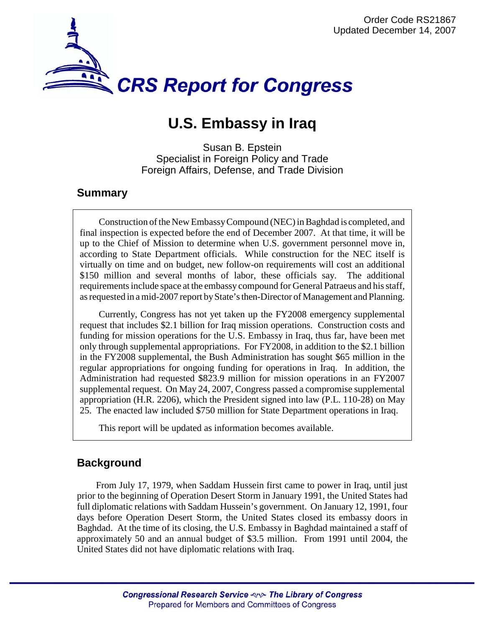

# **U.S. Embassy in Iraq**

Susan B. Epstein Specialist in Foreign Policy and Trade Foreign Affairs, Defense, and Trade Division

## **Summary**

Construction of the New Embassy Compound (NEC) in Baghdad is completed, and final inspection is expected before the end of December 2007. At that time, it will be up to the Chief of Mission to determine when U.S. government personnel move in, according to State Department officials. While construction for the NEC itself is virtually on time and on budget, new follow-on requirements will cost an additional \$150 million and several months of labor, these officials say. The additional requirements include space at the embassy compound for General Patraeus and his staff, as requested in a mid-2007 report by State's then-Director of Management and Planning.

Currently, Congress has not yet taken up the FY2008 emergency supplemental request that includes \$2.1 billion for Iraq mission operations. Construction costs and funding for mission operations for the U.S. Embassy in Iraq, thus far, have been met only through supplemental appropriations. For FY2008, in addition to the \$2.1 billion in the FY2008 supplemental, the Bush Administration has sought \$65 million in the regular appropriations for ongoing funding for operations in Iraq. In addition, the Administration had requested \$823.9 million for mission operations in an FY2007 supplemental request. On May 24, 2007, Congress passed a compromise supplemental appropriation (H.R. 2206), which the President signed into law (P.L. 110-28) on May 25. The enacted law included \$750 million for State Department operations in Iraq.

This report will be updated as information becomes available.

## **Background**

From July 17, 1979, when Saddam Hussein first came to power in Iraq, until just prior to the beginning of Operation Desert Storm in January 1991, the United States had full diplomatic relations with Saddam Hussein's government. On January 12, 1991, four days before Operation Desert Storm, the United States closed its embassy doors in Baghdad. At the time of its closing, the U.S. Embassy in Baghdad maintained a staff of approximately 50 and an annual budget of \$3.5 million. From 1991 until 2004, the United States did not have diplomatic relations with Iraq.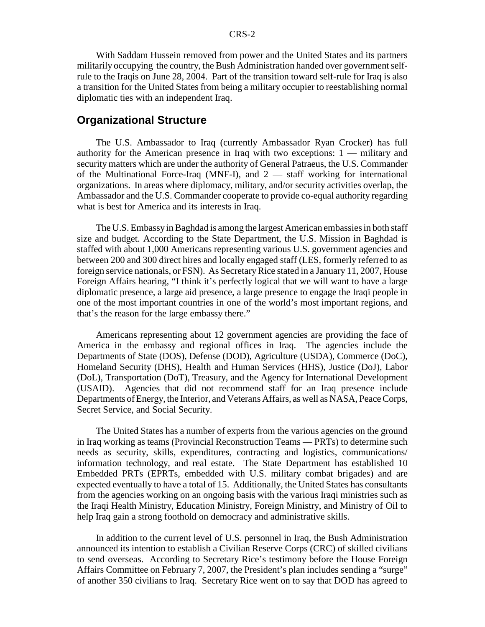With Saddam Hussein removed from power and the United States and its partners militarily occupying the country, the Bush Administration handed over government selfrule to the Iraqis on June 28, 2004. Part of the transition toward self-rule for Iraq is also a transition for the United States from being a military occupier to reestablishing normal diplomatic ties with an independent Iraq.

### **Organizational Structure**

The U.S. Ambassador to Iraq (currently Ambassador Ryan Crocker) has full authority for the American presence in Iraq with two exceptions: 1 — military and security matters which are under the authority of General Patraeus, the U.S. Commander of the Multinational Force-Iraq (MNF-I), and  $2$  — staff working for international organizations. In areas where diplomacy, military, and/or security activities overlap, the Ambassador and the U.S. Commander cooperate to provide co-equal authority regarding what is best for America and its interests in Iraq.

The U.S. Embassy in Baghdad is among the largest American embassies in both staff size and budget. According to the State Department, the U.S. Mission in Baghdad is staffed with about 1,000 Americans representing various U.S. government agencies and between 200 and 300 direct hires and locally engaged staff (LES, formerly referred to as foreign service nationals, or FSN). As Secretary Rice stated in a January 11, 2007, House Foreign Affairs hearing, "I think it's perfectly logical that we will want to have a large diplomatic presence, a large aid presence, a large presence to engage the Iraqi people in one of the most important countries in one of the world's most important regions, and that's the reason for the large embassy there."

Americans representing about 12 government agencies are providing the face of America in the embassy and regional offices in Iraq. The agencies include the Departments of State (DOS), Defense (DOD), Agriculture (USDA), Commerce (DoC), Homeland Security (DHS), Health and Human Services (HHS), Justice (DoJ), Labor (DoL), Transportation (DoT), Treasury, and the Agency for International Development (USAID). Agencies that did not recommend staff for an Iraq presence include Departments of Energy, the Interior, and Veterans Affairs, as well as NASA, Peace Corps, Secret Service, and Social Security.

The United States has a number of experts from the various agencies on the ground in Iraq working as teams (Provincial Reconstruction Teams — PRTs) to determine such needs as security, skills, expenditures, contracting and logistics, communications/ information technology, and real estate. The State Department has established 10 Embedded PRTs (EPRTs, embedded with U.S. military combat brigades) and are expected eventually to have a total of 15. Additionally, the United States has consultants from the agencies working on an ongoing basis with the various Iraqi ministries such as the Iraqi Health Ministry, Education Ministry, Foreign Ministry, and Ministry of Oil to help Iraq gain a strong foothold on democracy and administrative skills.

In addition to the current level of U.S. personnel in Iraq, the Bush Administration announced its intention to establish a Civilian Reserve Corps (CRC) of skilled civilians to send overseas. According to Secretary Rice's testimony before the House Foreign Affairs Committee on February 7, 2007, the President's plan includes sending a "surge" of another 350 civilians to Iraq. Secretary Rice went on to say that DOD has agreed to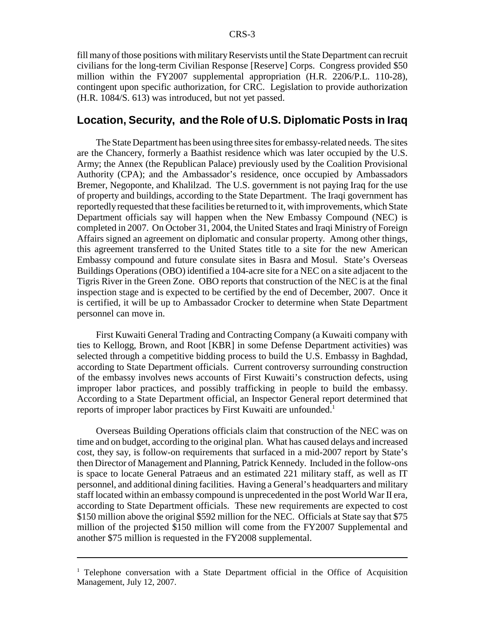fill many of those positions with military Reservists until the State Department can recruit civilians for the long-term Civilian Response [Reserve] Corps. Congress provided \$50 million within the FY2007 supplemental appropriation (H.R. 2206/P.L. 110-28), contingent upon specific authorization, for CRC. Legislation to provide authorization (H.R. 1084/S. 613) was introduced, but not yet passed.

### **Location, Security, and the Role of U.S. Diplomatic Posts in Iraq**

The State Department has been using three sites for embassy-related needs. The sites are the Chancery, formerly a Baathist residence which was later occupied by the U.S. Army; the Annex (the Republican Palace) previously used by the Coalition Provisional Authority (CPA); and the Ambassador's residence, once occupied by Ambassadors Bremer, Negoponte, and Khalilzad. The U.S. government is not paying Iraq for the use of property and buildings, according to the State Department. The Iraqi government has reportedly requested that these facilities be returned to it, with improvements, which State Department officials say will happen when the New Embassy Compound (NEC) is completed in 2007. On October 31, 2004, the United States and Iraqi Ministry of Foreign Affairs signed an agreement on diplomatic and consular property. Among other things, this agreement transferred to the United States title to a site for the new American Embassy compound and future consulate sites in Basra and Mosul. State's Overseas Buildings Operations (OBO) identified a 104-acre site for a NEC on a site adjacent to the Tigris River in the Green Zone. OBO reports that construction of the NEC is at the final inspection stage and is expected to be certified by the end of December, 2007. Once it is certified, it will be up to Ambassador Crocker to determine when State Department personnel can move in.

First Kuwaiti General Trading and Contracting Company (a Kuwaiti company with ties to Kellogg, Brown, and Root [KBR] in some Defense Department activities) was selected through a competitive bidding process to build the U.S. Embassy in Baghdad, according to State Department officials. Current controversy surrounding construction of the embassy involves news accounts of First Kuwaiti's construction defects, using improper labor practices, and possibly trafficking in people to build the embassy. According to a State Department official, an Inspector General report determined that reports of improper labor practices by First Kuwaiti are unfounded.<sup>1</sup>

Overseas Building Operations officials claim that construction of the NEC was on time and on budget, according to the original plan. What has caused delays and increased cost, they say, is follow-on requirements that surfaced in a mid-2007 report by State's then Director of Management and Planning, Patrick Kennedy. Included in the follow-ons is space to locate General Patraeus and an estimated 221 military staff, as well as IT personnel, and additional dining facilities. Having a General's headquarters and military staff located within an embassy compound is unprecedented in the post World War II era, according to State Department officials. These new requirements are expected to cost \$150 million above the original \$592 million for the NEC. Officials at State say that \$75 million of the projected \$150 million will come from the FY2007 Supplemental and another \$75 million is requested in the FY2008 supplemental.

<sup>&</sup>lt;sup>1</sup> Telephone conversation with a State Department official in the Office of Acquisition Management, July 12, 2007.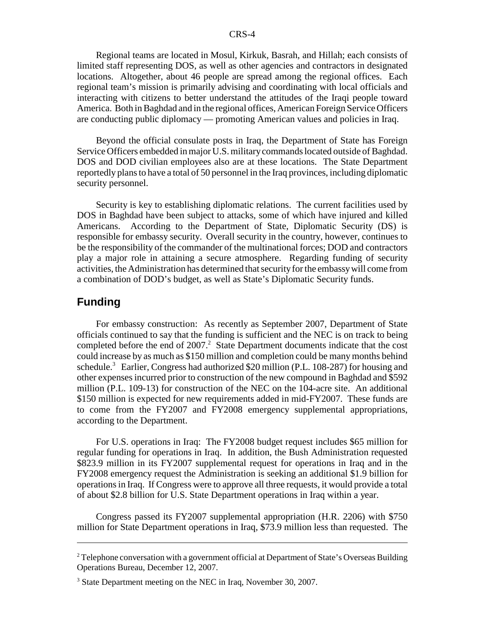#### CRS-4

Regional teams are located in Mosul, Kirkuk, Basrah, and Hillah; each consists of limited staff representing DOS, as well as other agencies and contractors in designated locations. Altogether, about 46 people are spread among the regional offices. Each regional team's mission is primarily advising and coordinating with local officials and interacting with citizens to better understand the attitudes of the Iraqi people toward America. Both in Baghdad and in the regional offices, American Foreign Service Officers are conducting public diplomacy — promoting American values and policies in Iraq.

Beyond the official consulate posts in Iraq, the Department of State has Foreign Service Officers embedded in major U.S. military commands located outside of Baghdad. DOS and DOD civilian employees also are at these locations. The State Department reportedly plans to have a total of 50 personnel in the Iraq provinces, including diplomatic security personnel.

Security is key to establishing diplomatic relations. The current facilities used by DOS in Baghdad have been subject to attacks, some of which have injured and killed Americans. According to the Department of State, Diplomatic Security (DS) is responsible for embassy security. Overall security in the country, however, continues to be the responsibility of the commander of the multinational forces; DOD and contractors play a major role in attaining a secure atmosphere. Regarding funding of security activities, the Administration has determined that security for the embassy will come from a combination of DOD's budget, as well as State's Diplomatic Security funds.

## **Funding**

For embassy construction: As recently as September 2007, Department of State officials continued to say that the funding is sufficient and the NEC is on track to being completed before the end of  $2007$ .<sup>2</sup> State Department documents indicate that the cost could increase by as much as \$150 million and completion could be many months behind schedule.<sup>3</sup> Earlier, Congress had authorized \$20 million (P.L. 108-287) for housing and other expenses incurred prior to construction of the new compound in Baghdad and \$592 million (P.L. 109-13) for construction of the NEC on the 104-acre site. An additional \$150 million is expected for new requirements added in mid-FY2007. These funds are to come from the FY2007 and FY2008 emergency supplemental appropriations, according to the Department.

For U.S. operations in Iraq: The FY2008 budget request includes \$65 million for regular funding for operations in Iraq. In addition, the Bush Administration requested \$823.9 million in its FY2007 supplemental request for operations in Iraq and in the FY2008 emergency request the Administration is seeking an additional \$1.9 billion for operations in Iraq. If Congress were to approve all three requests, it would provide a total of about \$2.8 billion for U.S. State Department operations in Iraq within a year.

Congress passed its FY2007 supplemental appropriation (H.R. 2206) with \$750 million for State Department operations in Iraq, \$73.9 million less than requested. The

 $2^2$  Telephone conversation with a government official at Department of State's Overseas Building Operations Bureau, December 12, 2007.

<sup>&</sup>lt;sup>3</sup> State Department meeting on the NEC in Iraq, November 30, 2007.